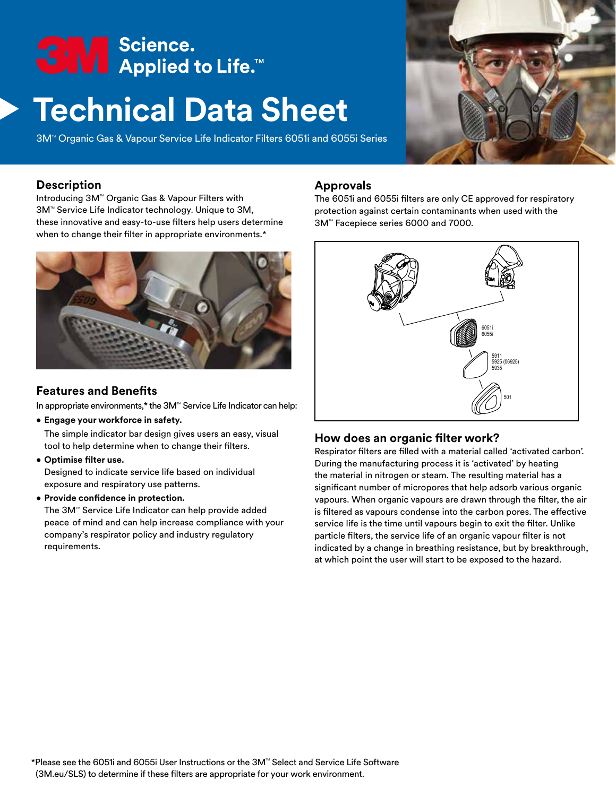# <del>S</del>M Science.<br>■ Applied to Life.™

# **Technical Data Sheet**

3M<sup>™</sup> Organic Gas & Vapour Service Life Indicator Filters 6051i and 6055i Series



#### **Description**

Introducing 3M™ Organic Gas & Vapour Filters with 3M<sup>™</sup> Service Life Indicator technology. Unique to 3M, these innovative and easy-to-use filters help users determine when to change their filter in appropriate environments.\*



#### **Features and Benefits**

In appropriate environments,\* the 3M™ Service Life Indicator can help:

• **Engage your workforce in safety.**

The simple indicator bar design gives users an easy, visual tool to help determine when to change their filters.

• **Optimise filter use.**

Designed to indicate service life based on individual exposure and respiratory use patterns.

• **Provide confidence in protection.**

The 3M™ Service Life Indicator can help provide added peace of mind and can help increase compliance with your company's respirator policy and industry regulatory requirements.

#### **Approvals**

The 6051i and 6055i filters are only CE approved for respiratory protection against certain contaminants when used with the 3M<sup>™</sup> Facepiece series 6000 and 7000.



## **How does an organic filter work?**

Respirator filters are filled with a material called 'activated carbon'. During the manufacturing process it is 'activated' by heating the material in nitrogen or steam. The resulting material has a significant number of micropores that help adsorb various organic vapours. When organic vapours are drawn through the filter, the air is filtered as vapours condense into the carbon pores. The effective service life is the time until vapours begin to exit the filter. Unlike particle filters, the service life of an organic vapour filter is not indicated by a change in breathing resistance, but by breakthrough, at which point the user will start to be exposed to the hazard.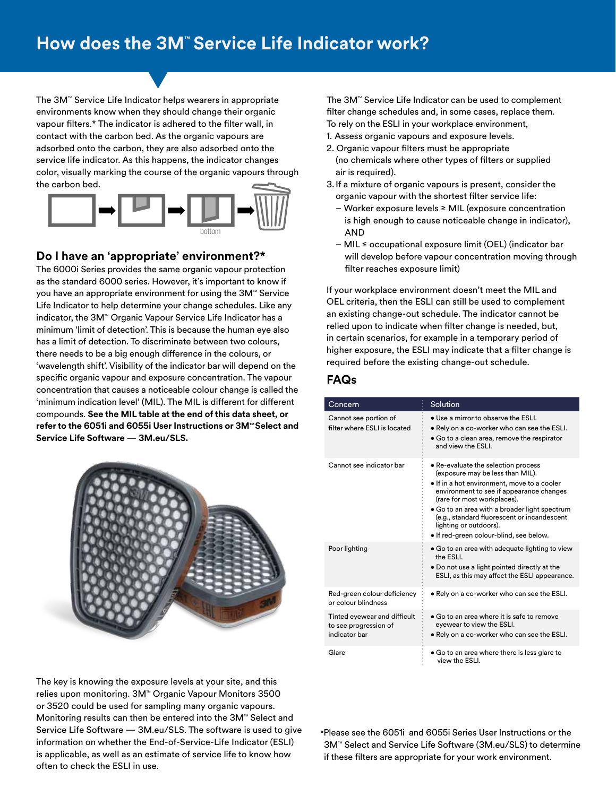The 3M™ Service Life Indicator helps wearers in appropriate environments know when they should change their organic vapour filters.\* The indicator is adhered to the filter wall, in contact with the carbon bed. As the organic vapours are adsorbed onto the carbon, they are also adsorbed onto the service life indicator. As this happens, the indicator changes color, visually marking the course of the organic vapours through the carbon bed.



#### **Do I have an 'appropriate' environment?\***

The 6000i Series provides the same organic vapour protection as the standard 6000 series. However, it's important to know if you have an appropriate environment for using the 3M™ Service Life Indicator to help determine your change schedules. Like any indicator, the 3M™ Organic Vapour Service Life Indicator has a minimum 'limit of detection'. This is because the human eye also has a limit of detection. To discriminate between two colours, there needs to be a big enough difference in the colours, or 'wavelength shift'. Visibility of the indicator bar will depend on the specific organic vapour and exposure concentration. The vapour concentration that causes a noticeable colour change is called the 'minimum indication level' (MIL). The MIL is different for different compounds. **See the MIL table at the end of this data sheet, or**  refer to the 6051i and 6055i User Instructions or 3M™ Select and **Service Life Software** — **3M.eu/SLS.**

The 3M™ Service Life Indicator can be used to complement filter change schedules and, in some cases, replace them. To rely on the ESLI in your workplace environment,

- 1. Assess organic vapours and exposure levels.
- 2. Organic vapour filters must be appropriate (no chemicals where other types of filters or supplied air is required).
- 3. If a mixture of organic vapours is present, consider the organic vapour with the shortest filter service life:
	- Worker exposure levels ≥ MIL (exposure concentration is high enough to cause noticeable change in indicator), AND
	- MIL ≤ occupational exposure limit (OEL) (indicator bar will develop before vapour concentration moving through filter reaches exposure limit)

If your workplace environment doesn't meet the MIL and OEL criteria, then the ESLI can still be used to complement an existing change-out schedule. The indicator cannot be relied upon to indicate when filter change is needed, but, in certain scenarios, for example in a temporary period of higher exposure, the ESLI may indicate that a filter change is required before the existing change-out schedule.

#### **FAQs**

| Concern                                                                | Solution                                                                                                                                                                                                                                                                                                                                                               |
|------------------------------------------------------------------------|------------------------------------------------------------------------------------------------------------------------------------------------------------------------------------------------------------------------------------------------------------------------------------------------------------------------------------------------------------------------|
| Cannot see portion of<br>filter where FSLL is located                  | • Use a mirror to observe the ESLI.<br>• Rely on a co-worker who can see the ESLI.<br>• Go to a clean area, remove the respirator<br>and view the ESLI.                                                                                                                                                                                                                |
| Cannot see indicator bar                                               | • Re-evaluate the selection process<br>(exposure may be less than MIL).<br>. If in a hot environment, move to a cooler<br>environment to see if appearance changes<br>(rare for most workplaces).<br>• Go to an area with a broader light spectrum<br>(e.g., standard fluorescent or incandescent<br>lighting or outdoors).<br>• If red-green colour-blind, see below. |
| Poor lighting                                                          | • Go to an area with adequate lighting to view<br>the ESLI.<br>• Do not use a light pointed directly at the<br>ESLI, as this may affect the ESLI appearance.                                                                                                                                                                                                           |
| Red-green colour deficiency<br>or colour blindness                     | • Rely on a co-worker who can see the ESLI.                                                                                                                                                                                                                                                                                                                            |
| Tinted eyewear and difficult<br>to see progression of<br>indicator bar | • Go to an area where it is safe to remove<br>eyewear to view the ESLI.<br>. Rely on a co-worker who can see the ESLI.                                                                                                                                                                                                                                                 |
| Glare                                                                  | $\bullet$ Go to an area where there is less glare to<br>view the ESLI.                                                                                                                                                                                                                                                                                                 |



The key is knowing the exposure levels at your site, and this relies upon monitoring. 3M™ Organic Vapour Monitors 3500 or 3520 could be used for sampling many organic vapours. Monitoring results can then be entered into the  $3M<sup>m</sup>$  Select and Service Life Software — 3M.eu/SLS. The software is used to give information on whether the End-of-Service-Life Indicator (ESLI) is applicable, as well as an estimate of service life to know how often to check the ESLI in use.

\*Please see the 6051i and 6055i Series User Instructions or the 3M™ Select and Service Life Software (3M.eu/SLS) to determine if these filters are appropriate for your work environment.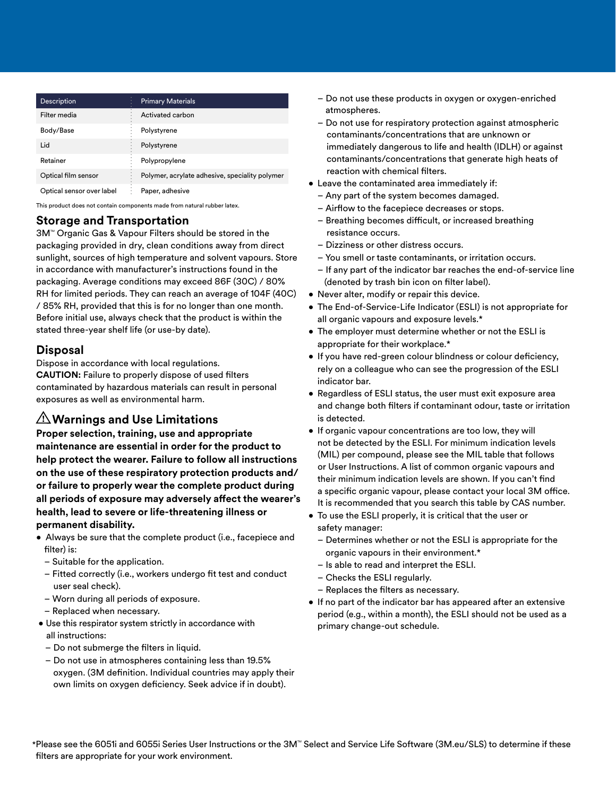| <b>Description</b>        | <b>Primary Materials</b>                       |
|---------------------------|------------------------------------------------|
| Filter media              | Activated carbon                               |
| Body/Base                 | Polystyrene                                    |
| Lid                       | Polystyrene                                    |
| Retainer                  | Polypropylene                                  |
| Optical film sensor       | Polymer, acrylate adhesive, speciality polymer |
| Optical sensor over label | Paper, adhesive                                |

This product does not contain components made from natural rubber latex.

#### **Storage and Transportation**

3M<sup>™</sup> Organic Gas & Vapour Filters should be stored in the packaging provided in dry, clean conditions away from direct sunlight, sources of high temperature and solvent vapours. Store in accordance with manufacturer's instructions found in the packaging. Average conditions may exceed 86F (30C) / 80% RH for limited periods. They can reach an average of 104F (40C) / 85% RH, provided that this is for no longer than one month. Before initial use, always check that the product is within the stated three-year shelf life (or use-by date).

#### **Disposal**

Dispose in accordance with local regulations. **CAUTION:** Failure to properly dispose of used filters contaminated by hazardous materials can result in personal exposures as well as environmental harm.

### **Warnings and Use Limitations**

**Proper selection, training, use and appropriate maintenance are essential in order for the product to help protect the wearer. Failure to follow all instructions on the use of these respiratory protection products and/ or failure to properly wear the complete product during all periods of exposure may adversely affect the wearer's health, lead to severe or life-threatening illness or permanent disability.**

- Always be sure that the complete product (i.e., facepiece and filter) is:
	- Suitable for the application.
	- Fitted correctly (i.e., workers undergo fit test and conduct user seal check).
	- Worn during all periods of exposure.
	- Replaced when necessary.
- Use this respirator system strictly in accordance with
	- all instructions:
	- Do not submerge the filters in liquid.
	- Do not use in atmospheres containing less than 19.5% oxygen. (3M definition. Individual countries may apply their own limits on oxygen deficiency. Seek advice if in doubt).
- Do not use these products in oxygen or oxygen-enriched atmospheres.
- Do not use for respiratory protection against atmospheric contaminants/concentrations that are unknown or immediately dangerous to life and health (IDLH) or against contaminants/concentrations that generate high heats of reaction with chemical filters.
- Leave the contaminated area immediately if:
	- Any part of the system becomes damaged.
	- Airflow to the facepiece decreases or stops.
	- Breathing becomes difficult, or increased breathing resistance occurs.
	- Dizziness or other distress occurs.
	- You smell or taste contaminants, or irritation occurs.
	- If any part of the indicator bar reaches the end-of-service line (denoted by trash bin icon on filter label).
- Never alter, modify or repair this device.
- The End-of-Service-Life Indicator (ESLI) is not appropriate for all organic vapours and exposure levels.\*
- The employer must determine whether or not the ESLI is appropriate for their workplace.\*
- If you have red-green colour blindness or colour deficiency, rely on a colleague who can see the progression of the ESLI indicator bar.
- Regardless of ESLI status, the user must exit exposure area and change both filters if contaminant odour, taste or irritation is detected.
- If organic vapour concentrations are too low, they will not be detected by the ESLI. For minimum indication levels (MIL) per compound, please see the MIL table that follows or User Instructions. A list of common organic vapours and their minimum indication levels are shown. If you can't find a specific organic vapour, please contact your local 3M office. It is recommended that you search this table by CAS number.
- To use the ESLI properly, it is critical that the user or safety manager:
	- Determines whether or not the ESLI is appropriate for the organic vapours in their environment.\*
	- Is able to read and interpret the ESLI.
	- Checks the ESLI regularly.
	- Replaces the filters as necessary.
- If no part of the indicator bar has appeared after an extensive period (e.g., within a month), the ESLI should not be used as a primary change-out schedule.

\*Please see the 6051i and 6055i Series User Instructions or the 3M<sup>™</sup> Select and Service Life Software (3M.eu/SLS) to determine if these filters are appropriate for your work environment.